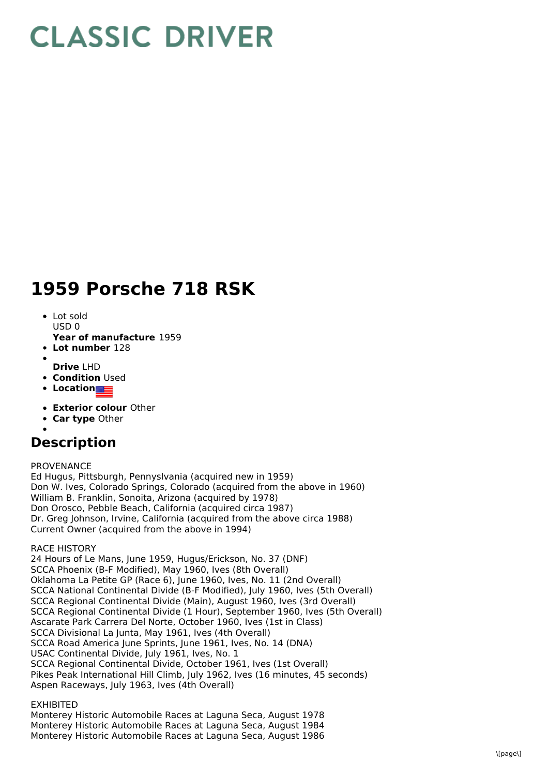# **CLASSIC DRIVER**

## **1959 Porsche 718 RSK**

- Lot sold USD 0
- **Year of manufacture** 1959
- **Lot number** 128
- **Drive** LHD
- **Condition Used**
- **Location**
- **Exterior colour** Other
- **Car type** Other
- 

### **Description**

PROVENANCE

Ed Hugus, Pittsburgh, Pennyslvania (acquired new in 1959) Don W. Ives, Colorado Springs, Colorado (acquired from the above in 1960) William B. Franklin, Sonoita, Arizona (acquired by 1978) Don Orosco, Pebble Beach, California (acquired circa 1987) Dr. Greg Johnson, Irvine, California (acquired from the above circa 1988) Current Owner (acquired from the above in 1994)

RACE HISTORY

24 Hours of Le Mans, June 1959, Hugus/Erickson, No. 37 (DNF) SCCA Phoenix (B-F Modified), May 1960, Ives (8th Overall) Oklahoma La Petite GP (Race 6), June 1960, Ives, No. 11 (2nd Overall) SCCA National Continental Divide (B-F Modified), July 1960, Ives (5th Overall) SCCA Regional Continental Divide (Main), August 1960, Ives (3rd Overall) SCCA Regional Continental Divide (1 Hour), September 1960, Ives (5th Overall) Ascarate Park Carrera Del Norte, October 1960, Ives (1st in Class) SCCA Divisional La Junta, May 1961, Ives (4th Overall) SCCA Road America June Sprints, June 1961, Ives, No. 14 (DNA) USAC Continental Divide, July 1961, Ives, No. 1 SCCA Regional Continental Divide, October 1961, Ives (1st Overall) Pikes Peak International Hill Climb, July 1962, Ives (16 minutes, 45 seconds) Aspen Raceways, July 1963, Ives (4th Overall)

#### EXHIBITED

Monterey Historic Automobile Races at Laguna Seca, August 1978 Monterey Historic Automobile Races at Laguna Seca, August 1984 Monterey Historic Automobile Races at Laguna Seca, August 1986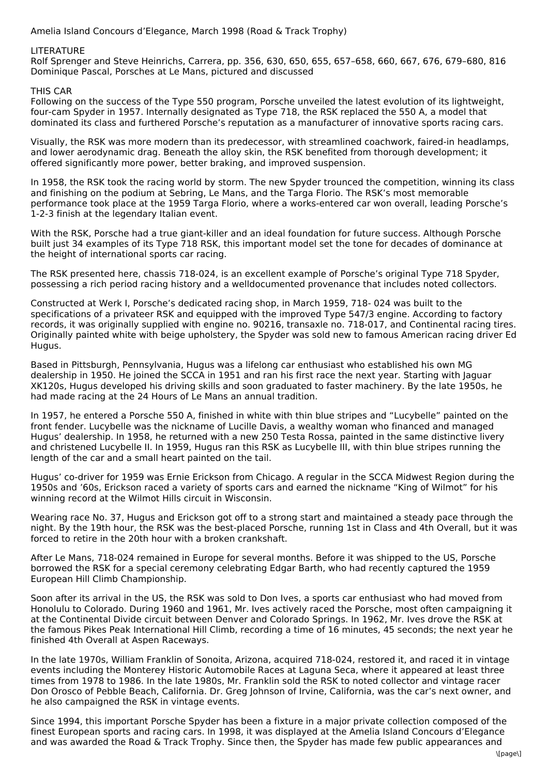Amelia Island Concours d'Elegance, March 1998 (Road & Track Trophy)

#### **LITERATURE**

Rolf Sprenger and Steve Heinrichs, Carrera, pp. 356, 630, 650, 655, 657–658, 660, 667, 676, 679–680, 816 Dominique Pascal, Porsches at Le Mans, pictured and discussed

#### THIS CAR

Following on the success of the Type 550 program, Porsche unveiled the latest evolution of its lightweight, four-cam Spyder in 1957. Internally designated as Type 718, the RSK replaced the 550 A, a model that dominated its class and furthered Porsche's reputation as a manufacturer of innovative sports racing cars.

Visually, the RSK was more modern than its predecessor, with streamlined coachwork, faired-in headlamps, and lower aerodynamic drag. Beneath the alloy skin, the RSK benefited from thorough development; it offered significantly more power, better braking, and improved suspension.

In 1958, the RSK took the racing world by storm. The new Spyder trounced the competition, winning its class and finishing on the podium at Sebring, Le Mans, and the Targa Florio. The RSK's most memorable performance took place at the 1959 Targa Florio, where a works-entered car won overall, leading Porsche's 1-2-3 finish at the legendary Italian event.

With the RSK, Porsche had a true giant-killer and an ideal foundation for future success. Although Porsche built just 34 examples of its Type 718 RSK, this important model set the tone for decades of dominance at the height of international sports car racing.

The RSK presented here, chassis 718-024, is an excellent example of Porsche's original Type 718 Spyder, possessing a rich period racing history and a welldocumented provenance that includes noted collectors.

Constructed at Werk I, Porsche's dedicated racing shop, in March 1959, 718- 024 was built to the specifications of a privateer RSK and equipped with the improved Type 547/3 engine. According to factory records, it was originally supplied with engine no. 90216, transaxle no. 718-017, and Continental racing tires. Originally painted white with beige upholstery, the Spyder was sold new to famous American racing driver Ed Hugus.

Based in Pittsburgh, Pennsylvania, Hugus was a lifelong car enthusiast who established his own MG dealership in 1950. He joined the SCCA in 1951 and ran his first race the next year. Starting with Jaguar XK120s, Hugus developed his driving skills and soon graduated to faster machinery. By the late 1950s, he had made racing at the 24 Hours of Le Mans an annual tradition.

In 1957, he entered a Porsche 550 A, finished in white with thin blue stripes and "Lucybelle" painted on the front fender. Lucybelle was the nickname of Lucille Davis, a wealthy woman who financed and managed Hugus' dealership. In 1958, he returned with a new 250 Testa Rossa, painted in the same distinctive livery and christened Lucybelle II. In 1959, Hugus ran this RSK as Lucybelle III, with thin blue stripes running the length of the car and a small heart painted on the tail.

Hugus' co-driver for 1959 was Ernie Erickson from Chicago. A regular in the SCCA Midwest Region during the 1950s and '60s, Erickson raced a variety of sports cars and earned the nickname "King of Wilmot" for his winning record at the Wilmot Hills circuit in Wisconsin.

Wearing race No. 37, Hugus and Erickson got off to a strong start and maintained a steady pace through the night. By the 19th hour, the RSK was the best-placed Porsche, running 1st in Class and 4th Overall, but it was forced to retire in the 20th hour with a broken crankshaft.

After Le Mans, 718-024 remained in Europe for several months. Before it was shipped to the US, Porsche borrowed the RSK for a special ceremony celebrating Edgar Barth, who had recently captured the 1959 European Hill Climb Championship.

Soon after its arrival in the US, the RSK was sold to Don Ives, a sports car enthusiast who had moved from Honolulu to Colorado. During 1960 and 1961, Mr. Ives actively raced the Porsche, most often campaigning it at the Continental Divide circuit between Denver and Colorado Springs. In 1962, Mr. Ives drove the RSK at the famous Pikes Peak International Hill Climb, recording a time of 16 minutes, 45 seconds; the next year he finished 4th Overall at Aspen Raceways.

In the late 1970s, William Franklin of Sonoita, Arizona, acquired 718-024, restored it, and raced it in vintage events including the Monterey Historic Automobile Races at Laguna Seca, where it appeared at least three times from 1978 to 1986. In the late 1980s, Mr. Franklin sold the RSK to noted collector and vintage racer Don Orosco of Pebble Beach, California. Dr. Greg Johnson of Irvine, California, was the car's next owner, and he also campaigned the RSK in vintage events.

Since 1994, this important Porsche Spyder has been a fixture in a major private collection composed of the finest European sports and racing cars. In 1998, it was displayed at the Amelia Island Concours d'Elegance and was awarded the Road & Track Trophy. Since then, the Spyder has made few public appearances and